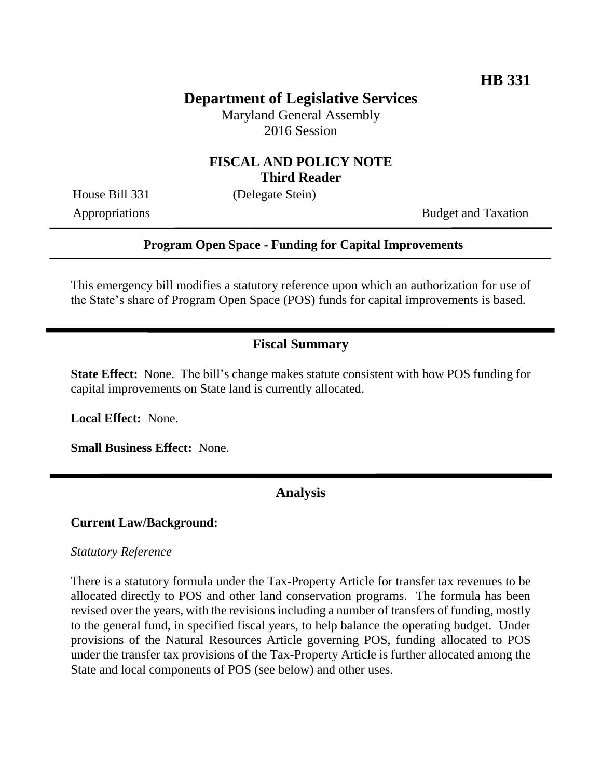# **Department of Legislative Services**

Maryland General Assembly 2016 Session

### **FISCAL AND POLICY NOTE Third Reader**

House Bill 331 (Delegate Stein)

Appropriations Budget and Taxation

### **Program Open Space - Funding for Capital Improvements**

This emergency bill modifies a statutory reference upon which an authorization for use of the State's share of Program Open Space (POS) funds for capital improvements is based.

### **Fiscal Summary**

**State Effect:** None. The bill's change makes statute consistent with how POS funding for capital improvements on State land is currently allocated.

**Local Effect:** None.

**Small Business Effect:** None.

**Analysis**

#### **Current Law/Background:**

#### *Statutory Reference*

There is a statutory formula under the Tax-Property Article for transfer tax revenues to be allocated directly to POS and other land conservation programs. The formula has been revised over the years, with the revisions including a number of transfers of funding, mostly to the general fund, in specified fiscal years, to help balance the operating budget. Under provisions of the Natural Resources Article governing POS, funding allocated to POS under the transfer tax provisions of the Tax-Property Article is further allocated among the State and local components of POS (see below) and other uses.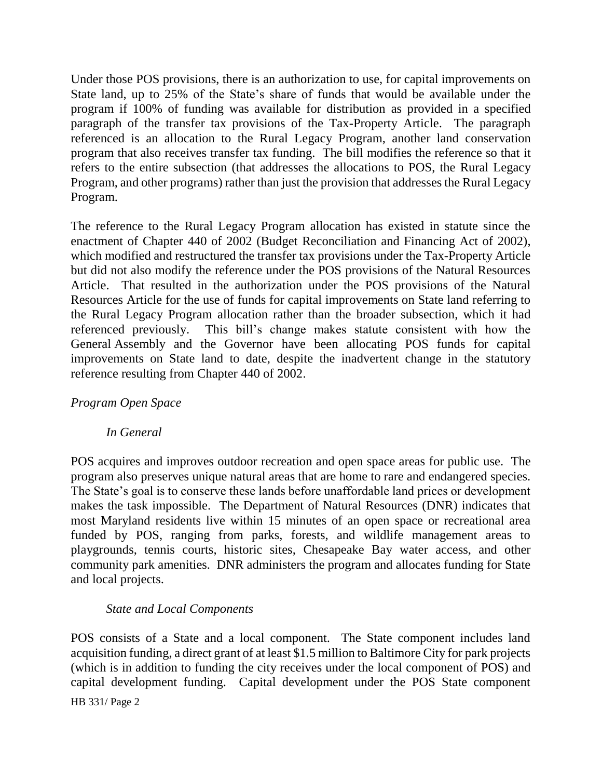Under those POS provisions, there is an authorization to use, for capital improvements on State land, up to 25% of the State's share of funds that would be available under the program if 100% of funding was available for distribution as provided in a specified paragraph of the transfer tax provisions of the Tax-Property Article. The paragraph referenced is an allocation to the Rural Legacy Program, another land conservation program that also receives transfer tax funding. The bill modifies the reference so that it refers to the entire subsection (that addresses the allocations to POS, the Rural Legacy Program, and other programs) rather than just the provision that addresses the Rural Legacy Program.

The reference to the Rural Legacy Program allocation has existed in statute since the enactment of Chapter 440 of 2002 (Budget Reconciliation and Financing Act of 2002), which modified and restructured the transfer tax provisions under the Tax-Property Article but did not also modify the reference under the POS provisions of the Natural Resources Article. That resulted in the authorization under the POS provisions of the Natural Resources Article for the use of funds for capital improvements on State land referring to the Rural Legacy Program allocation rather than the broader subsection, which it had referenced previously. This bill's change makes statute consistent with how the General Assembly and the Governor have been allocating POS funds for capital improvements on State land to date, despite the inadvertent change in the statutory reference resulting from Chapter 440 of 2002.

## *Program Open Space*

## *In General*

POS acquires and improves outdoor recreation and open space areas for public use. The program also preserves unique natural areas that are home to rare and endangered species. The State's goal is to conserve these lands before unaffordable land prices or development makes the task impossible. The Department of Natural Resources (DNR) indicates that most Maryland residents live within 15 minutes of an open space or recreational area funded by POS, ranging from parks, forests, and wildlife management areas to playgrounds, tennis courts, historic sites, Chesapeake Bay water access, and other community park amenities. DNR administers the program and allocates funding for State and local projects.

## *State and Local Components*

POS consists of a State and a local component. The State component includes land acquisition funding, a direct grant of at least \$1.5 million to Baltimore City for park projects (which is in addition to funding the city receives under the local component of POS) and capital development funding. Capital development under the POS State component